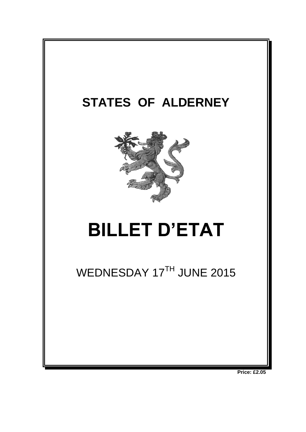

**Price: £2.05**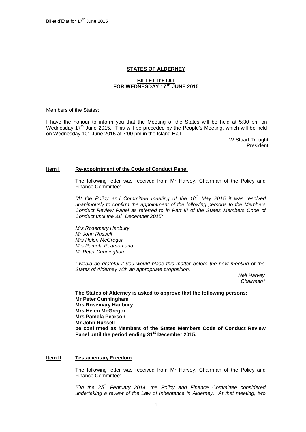### **STATES OF ALDERNEY**

#### **BILLET D'ETAT FOR WEDNESDAY 17TH JUNE 2015**

Members of the States:

I have the honour to inform you that the Meeting of the States will be held at 5:30 pm on Wednesday 17<sup>th</sup> June 2015. This will be preceded by the People's Meeting, which will be held on Wednesday 10<sup>th</sup> June 2015 at 7:00 pm in the Island Hall.

> W Stuart Trought President

### **Item l Re-appointment of the Code of Conduct Panel**

The following letter was received from Mr Harvey, Chairman of the Policy and Finance Committee:-

*"At the Policy and Committee meeting of the 18th May 2015 it was resolved unanimously to confirm the appointment of the following persons to the Members Conduct Review Panel as referred to in Part III of the States Members Code of Conduct until the 31st December 2015:*

*Mrs Rosemary Hanbury Mr John Russell Mrs Helen McGregor Mrs Pamela Pearson and Mr Peter Cunningham.*

*I* would be grateful if you would place this matter before the next meeting of the *States of Alderney with an appropriate proposition.*

*Neil Harvey Chairman"*

**The States of Alderney is asked to approve that the following persons: Mr Peter Cunningham Mrs Rosemary Hanbury Mrs Helen McGregor Mrs Pamela Pearson Mr John Russell be confirmed as Members of the States Members Code of Conduct Review Panel until the period ending 31st December 2015.**

#### **Item II Testamentary Freedom**

The following letter was received from Mr Harvey, Chairman of the Policy and Finance Committee:-

*"On the 25th February 2014, the Policy and Finance Committee considered undertaking a review of the Law of Inheritance in Alderney. At that meeting, two*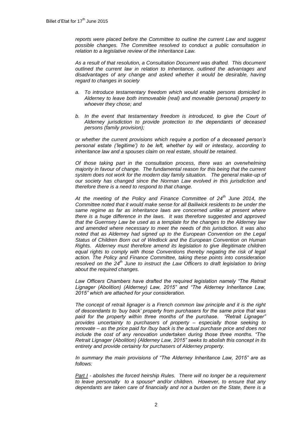*reports were placed before the Committee to outline the current Law and suggest possible changes. The Committee resolved to conduct a public consultation in relation to a legislative review of the Inheritance Law.*

*As a result of that resolution, a Consultation Document was drafted. This document outlined the current law in relation to Inheritance, outlined the advantages and disadvantages of any change and asked whether it would be desirable, having regard to changes in society*

- *a. To introduce testamentary freedom which would enable persons domiciled in Alderney to leave both immoveable (real) and moveable (personal) property to whoever they chose; and*
- *b.* In the event that testamentary freedom is introduced, to give the Court of *Alderney jurisdiction to provide protection to the dependants of deceased persons (family provision);*

*or whether the current provisions which require a portion of a deceased person's personal estate ('legitime') to be left, whether by will or intestacy, according to inheritance law and a spouses claim on real estate, should be retained.* 

*Of those taking part in the consultation process, there was an overwhelming majority in favour of change. The fundamental reason for this being that the current system does not work for the modern day family situation. The general make-up of our society has changed since the Norman Law evolved in this jurisdiction and therefore there is a need to respond to that change.* 

*At the meeting of the Policy and Finance Committee of 24th June 2014, the Committee noted that it would make sense for all Bailiwick residents to be under the*  same regime as far as inheritance laws are concerned unlike at present where *there is a huge difference in the laws. It was therefore suggested and approved that the Guernsey Law be used as a template for the changes to the Alderney law and amended where necessary to meet the needs of this jurisdiction. It was also noted that as Alderney had signed up to the European Convention on the Legal Status of Children Born out of Wedlock and the European Convention on Human Rights. Alderney must therefore amend its legislation to give illegitimate children equal rights to comply with those Conventions thereby negating the risk of legal action. The Policy and Finance Committee, taking these points into consideration resolved on the 24th June to instruct the Law Officers to draft legislation to bring about the required changes.* 

Law Officers Chambers have drafted the required legislation namely "The Retrait *Lignager (Abolition) (Alderney) Law, 2015" and "The Alderney Inheritance Law, 2015" which are attached for your consideration.*

*The concept of retrait lignager is a French common law principle and it is the right of descendants to 'buy back' property from purchasers for the same price that was paid for the property within three months of the purchase. "Retrait Lignager" provides uncertainty to purchasers of property – especially those seeking to renovate – as the price paid for /buy back is the actual purchase price and does not include the cost of any renovation undertaken during those three months. "The Retrait Lignager (Abolition) (Alderney Law, 2015" seeks to abolish this concept in its entirety and provide certainty for purchasers of Alderney property.* 

*In summary the main provisions of "The Alderney Inheritance Law, 2015" are as follows:*

*Part I - abolishes the forced heirship Rules. There will no longer be a requirement to leave personalty to a spouse\* and/or children. However, to ensure that any dependants are taken care of financially and not a burden on the State, there is a*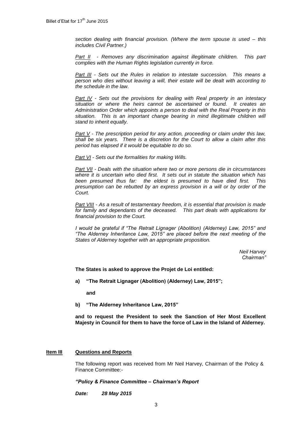*section dealing with financial provision. (Where the term spouse is used – this includes Civil Partner.)*

*Part II - Removes any discrimination against illegitimate children. This part complies with the Human Rights legislation currently in force.* 

*Part III - Sets out the Rules in relation to intestate succession. This means a person who dies without leaving a will, their estate will be dealt with according to the schedule in the law.* 

*Part IV - Sets out the provisions for dealing with Real property in an intestacy situation or where the heirs cannot be ascertained or found. It creates an Administration Order which appoints a person to deal with the Real Property in this situation. This is an important change bearing in mind illegitimate children will stand to inherit equally.*

*Part V - The prescription period for any action, proceeding or claim under this law, shall be six years. There is a discretion for the Court to allow a claim after this period has elapsed if it would be equitable to do so.*

*Part VI - Sets out the formalities for making Wills.*

*Part VII - Deals with the situation where two or more persons die in circumstances where it is uncertain who died first. It sets out in statute the situation which has been presumed thus far: the eldest is presumed to have died first. This presumption can be rebutted by an express provision in a will or by order of the Court.*

*Part VIII - As a result of testamentary freedom, it is essential that provision is made for family and dependants of the deceased. This part deals with applications for financial provision to the Court.* 

*I* would be grateful if "The Retrait Lignager (Abolition) (Alderney) Law, 2015" and *"The Alderney Inheritance Law, 2015" are placed before the next meeting of the States of Alderney together with an appropriate proposition.*

> *Neil Harvey Chairman"*

**The States is asked to approve the Projet de Loi entitled:**

**a) "The Retrait Lignager (Abolition) (Alderney) Law, 2015";** 

**and**

**b) "The Alderney Inheritance Law, 2015"**

**and to request the President to seek the Sanction of Her Most Excellent Majesty in Council for them to have the force of Law in the Island of Alderney.**

### **Item III Questions and Reports**

The following report was received from Mr Neil Harvey, Chairman of the Policy & Finance Committee:-

## *"Policy & Finance Committee – Chairman's Report*

*Date: 28 May 2015*